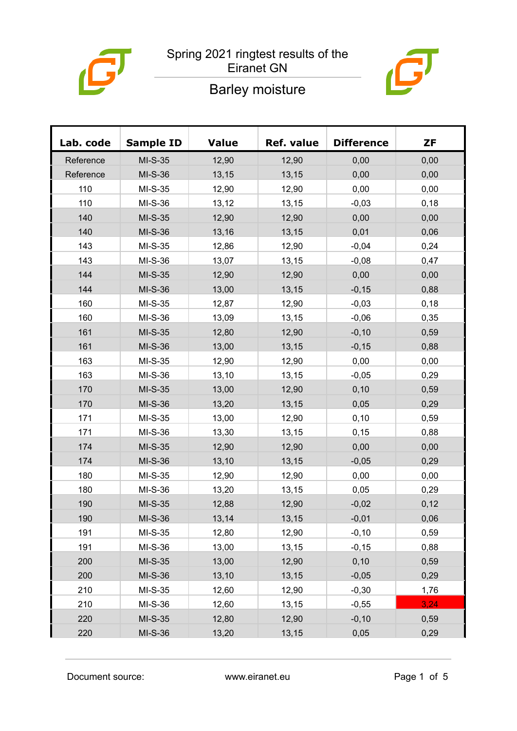

#### Spring 2021 ringtest results of the Eiranet GN

### Barley moisture



| Lab. code | <b>Sample ID</b> | <b>Value</b> | Ref. value | <b>Difference</b> | <b>ZF</b> |
|-----------|------------------|--------------|------------|-------------------|-----------|
| Reference | $MI-S-35$        | 12,90        | 12,90      | 0,00              | 0,00      |
| Reference | $MI-S-36$        | 13,15        | 13,15      | 0,00              | 0,00      |
| 110       | $MI-S-35$        | 12,90        | 12,90      | 0,00              | 0,00      |
| 110       | MI-S-36          | 13,12        | 13,15      | $-0,03$           | 0,18      |
| 140       | $MI-S-35$        | 12,90        | 12,90      | 0,00              | 0,00      |
| 140       | $MI-S-36$        | 13,16        | 13,15      | 0,01              | 0,06      |
| 143       | $MI-S-35$        | 12,86        | 12,90      | $-0,04$           | 0,24      |
| 143       | MI-S-36          | 13,07        | 13,15      | $-0,08$           | 0,47      |
| 144       | $MI-S-35$        | 12,90        | 12,90      | 0,00              | 0,00      |
| 144       | $MI-S-36$        | 13,00        | 13,15      | $-0,15$           | 0,88      |
| 160       | $MI-S-35$        | 12,87        | 12,90      | $-0,03$           | 0,18      |
| 160       | MI-S-36          | 13,09        | 13,15      | $-0,06$           | 0,35      |
| 161       | $MI-S-35$        | 12,80        | 12,90      | $-0,10$           | 0,59      |
| 161       | MI-S-36          | 13,00        | 13,15      | $-0,15$           | 0,88      |
| 163       | $MI-S-35$        | 12,90        | 12,90      | 0,00              | 0,00      |
| 163       | MI-S-36          | 13,10        | 13,15      | $-0,05$           | 0,29      |
| 170       | MI-S-35          | 13,00        | 12,90      | 0, 10             | 0,59      |
| 170       | MI-S-36          | 13,20        | 13, 15     | 0,05              | 0,29      |
| 171       | $MI-S-35$        | 13,00        | 12,90      | 0,10              | 0,59      |
| 171       | MI-S-36          | 13,30        | 13,15      | 0,15              | 0,88      |
| 174       | MI-S-35          | 12,90        | 12,90      | 0,00              | 0,00      |
| 174       | MI-S-36          | 13,10        | 13,15      | $-0,05$           | 0,29      |
| 180       | $MI-S-35$        | 12,90        | 12,90      | 0,00              | 0,00      |
| 180       | MI-S-36          | 13,20        | 13,15      | 0,05              | 0,29      |
| 190       | MI-S-35          | 12,88        | 12,90      | $-0,02$           | 0,12      |
| 190       | MI-S-36          | 13,14        | 13,15      | $-0,01$           | 0,06      |
| 191       | MI-S-35          | 12,80        | 12,90      | $-0, 10$          | 0,59      |
| 191       | MI-S-36          | 13,00        | 13,15      | $-0, 15$          | 0,88      |
| 200       | $MI-S-35$        | 13,00        | 12,90      | 0, 10             | 0,59      |
| 200       | MI-S-36          | 13,10        | 13,15      | $-0,05$           | 0,29      |
| 210       | MI-S-35          | 12,60        | 12,90      | $-0,30$           | 1,76      |
| 210       | MI-S-36          | 12,60        | 13,15      | $-0,55$           | 3,24      |
| 220       | $MI-S-35$        | 12,80        | 12,90      | $-0, 10$          | 0,59      |
| 220       | MI-S-36          | 13,20        | 13,15      | 0,05              | 0,29      |

Document source: www.eiranet.eu Page 1 of 5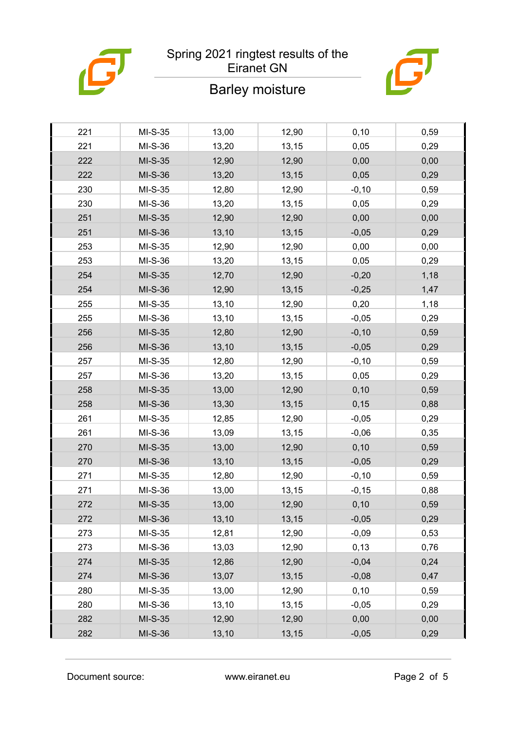

#### Spring 2021 ringtest results of the Eiranet GN

# $\boldsymbol{\vartheta}$

# Barley moisture

| 221 | $MI-S-35$ | 13,00 | 12,90 | 0,10     | 0,59 |
|-----|-----------|-------|-------|----------|------|
| 221 | MI-S-36   | 13,20 | 13,15 | 0,05     | 0,29 |
| 222 | MI-S-35   | 12,90 | 12,90 | 0,00     | 0,00 |
| 222 | MI-S-36   | 13,20 | 13,15 | 0,05     | 0,29 |
| 230 | $MI-S-35$ | 12,80 | 12,90 | $-0, 10$ | 0,59 |
| 230 | MI-S-36   | 13,20 | 13,15 | 0,05     | 0,29 |
| 251 | MI-S-35   | 12,90 | 12,90 | 0,00     | 0,00 |
| 251 | MI-S-36   | 13,10 | 13,15 | $-0,05$  | 0,29 |
| 253 | $MI-S-35$ | 12,90 | 12,90 | 0,00     | 0,00 |
| 253 | MI-S-36   | 13,20 | 13,15 | 0,05     | 0,29 |
| 254 | MI-S-35   | 12,70 | 12,90 | $-0,20$  | 1,18 |
| 254 | MI-S-36   | 12,90 | 13,15 | $-0,25$  | 1,47 |
| 255 | $MI-S-35$ | 13,10 | 12,90 | 0,20     | 1,18 |
| 255 | MI-S-36   | 13,10 | 13,15 | $-0,05$  | 0,29 |
| 256 | MI-S-35   | 12,80 | 12,90 | $-0,10$  | 0,59 |
| 256 | MI-S-36   | 13,10 | 13,15 | $-0,05$  | 0,29 |
| 257 | $MI-S-35$ | 12,80 | 12,90 | $-0,10$  | 0,59 |
| 257 | MI-S-36   | 13,20 | 13,15 | 0,05     | 0,29 |
| 258 | MI-S-35   | 13,00 | 12,90 | 0,10     | 0,59 |
| 258 | MI-S-36   | 13,30 | 13,15 | 0, 15    | 0,88 |
| 261 | $MI-S-35$ | 12,85 | 12,90 | $-0,05$  | 0,29 |
| 261 | MI-S-36   | 13,09 | 13,15 | $-0,06$  | 0,35 |
| 270 | MI-S-35   | 13,00 | 12,90 | 0,10     | 0,59 |
| 270 | MI-S-36   | 13,10 | 13,15 | $-0,05$  | 0,29 |
| 271 | $MI-S-35$ | 12,80 | 12,90 | $-0,10$  | 0,59 |
| 271 | MI-S-36   | 13,00 | 13,15 | $-0,15$  | 0,88 |
| 272 | MI-S-35   | 13,00 | 12,90 | 0, 10    | 0,59 |
| 272 | MI-S-36   | 13,10 | 13,15 | $-0,05$  | 0,29 |
| 273 | $MI-S-35$ | 12,81 | 12,90 | $-0,09$  | 0,53 |
| 273 | MI-S-36   | 13,03 | 12,90 | 0,13     | 0,76 |
| 274 | MI-S-35   | 12,86 | 12,90 | $-0,04$  | 0,24 |
| 274 | MI-S-36   | 13,07 | 13,15 | $-0,08$  | 0,47 |
| 280 | $MI-S-35$ | 13,00 | 12,90 | 0, 10    | 0,59 |
| 280 | MI-S-36   | 13,10 | 13,15 | $-0,05$  | 0,29 |
| 282 | MI-S-35   | 12,90 | 12,90 | 0,00     | 0,00 |
| 282 | MI-S-36   | 13,10 | 13,15 | $-0,05$  | 0,29 |
|     |           |       |       |          |      |

Document source: www.eiranet.eu Page 2 of 5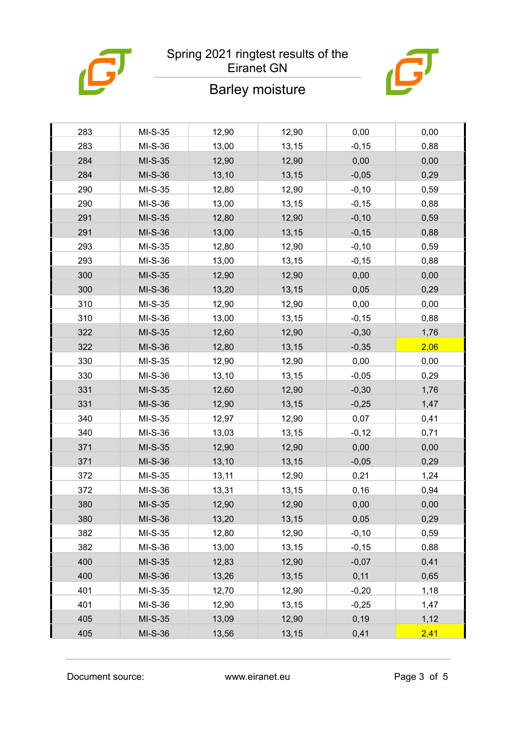

## Spring 2021 ringtest results of the

# $\boldsymbol{\bar{G}}$

### Eiranet GN

### Barley moisture

| 283 | $MI-S-35$ | 12,90 | 12,90 | 0,00     | 0,00 |
|-----|-----------|-------|-------|----------|------|
| 283 | MI-S-36   | 13,00 | 13,15 | $-0, 15$ | 0,88 |
| 284 | $MI-S-35$ | 12,90 | 12,90 | 0,00     | 0,00 |
| 284 | MI-S-36   | 13,10 | 13,15 | $-0,05$  | 0,29 |
| 290 | $MI-S-35$ | 12,80 | 12,90 | $-0,10$  | 0,59 |
| 290 | MI-S-36   | 13,00 | 13,15 | $-0,15$  | 0,88 |
| 291 | $MI-S-35$ | 12,80 | 12,90 | $-0, 10$ | 0,59 |
| 291 | MI-S-36   | 13,00 | 13,15 | $-0,15$  | 0,88 |
| 293 | $MI-S-35$ | 12,80 | 12,90 | $-0,10$  | 0,59 |
| 293 | MI-S-36   | 13,00 | 13,15 | $-0,15$  | 0,88 |
| 300 | $MI-S-35$ | 12,90 | 12,90 | 0,00     | 0,00 |
| 300 | MI-S-36   | 13,20 | 13,15 | 0,05     | 0,29 |
| 310 | $MI-S-35$ | 12,90 | 12,90 | 0,00     | 0,00 |
| 310 | MI-S-36   | 13,00 | 13,15 | $-0,15$  | 0,88 |
| 322 | MI-S-35   | 12,60 | 12,90 | $-0,30$  | 1,76 |
| 322 | MI-S-36   | 12,80 | 13,15 | $-0,35$  | 2,06 |
| 330 | $MI-S-35$ | 12,90 | 12,90 | 0,00     | 0,00 |
| 330 | MI-S-36   | 13,10 | 13,15 | $-0,05$  | 0,29 |
| 331 | $MI-S-35$ | 12,60 | 12,90 | $-0,30$  | 1,76 |
| 331 | MI-S-36   | 12,90 | 13,15 | $-0,25$  | 1,47 |
| 340 | $MI-S-35$ | 12,97 | 12,90 | 0,07     | 0,41 |
| 340 | MI-S-36   | 13,03 | 13,15 | $-0,12$  | 0,71 |
| 371 | $MI-S-35$ | 12,90 | 12,90 | 0,00     | 0,00 |
| 371 | MI-S-36   | 13,10 | 13,15 | $-0,05$  | 0,29 |
| 372 | $MI-S-35$ | 13,11 | 12,90 | 0,21     | 1,24 |
| 372 | MI-S-36   | 13,31 | 13,15 | 0,16     | 0,94 |
| 380 | $MI-S-35$ | 12,90 | 12,90 | 0,00     | 0,00 |
| 380 | MI-S-36   | 13,20 | 13,15 | 0,05     | 0,29 |
| 382 | $MI-S-35$ | 12,80 | 12,90 | $-0, 10$ | 0,59 |
| 382 | MI-S-36   | 13,00 | 13,15 | $-0,15$  | 0,88 |
| 400 | $MI-S-35$ | 12,83 | 12,90 | $-0,07$  | 0,41 |
| 400 | MI-S-36   | 13,26 | 13,15 | 0,11     | 0,65 |
| 401 | $MI-S-35$ | 12,70 | 12,90 | $-0,20$  | 1,18 |
| 401 | MI-S-36   | 12,90 | 13,15 | $-0,25$  | 1,47 |
| 405 | $MI-S-35$ | 13,09 | 12,90 | 0, 19    | 1,12 |
| 405 | MI-S-36   | 13,56 | 13,15 | 0,41     | 2,41 |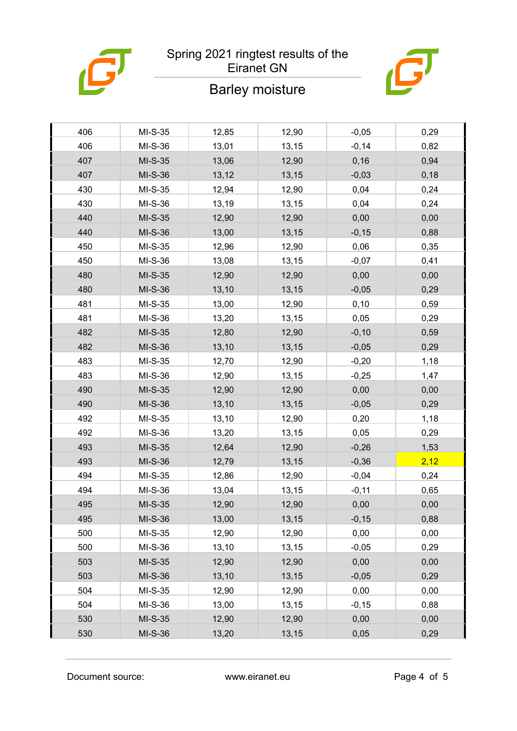

## Spring 2021 ringtest results of the

# $\boldsymbol{\vartheta}$

### Eiranet GN

### Barley moisture

| 406 | $MI-S-35$ | 12,85 | 12,90 | $-0,05$  | 0,29 |
|-----|-----------|-------|-------|----------|------|
| 406 | MI-S-36   | 13,01 | 13,15 | $-0,14$  | 0,82 |
| 407 | $MI-S-35$ | 13,06 | 12,90 | 0, 16    | 0,94 |
| 407 | MI-S-36   | 13,12 | 13,15 | $-0,03$  | 0,18 |
| 430 | $MI-S-35$ | 12,94 | 12,90 | 0,04     | 0,24 |
| 430 | MI-S-36   | 13,19 | 13,15 | 0,04     | 0,24 |
| 440 | MI-S-35   | 12,90 | 12,90 | 0,00     | 0,00 |
| 440 | MI-S-36   | 13,00 | 13,15 | $-0,15$  | 0,88 |
| 450 | $MI-S-35$ | 12,96 | 12,90 | 0,06     | 0,35 |
| 450 | MI-S-36   | 13,08 | 13,15 | $-0,07$  | 0,41 |
| 480 | $MI-S-35$ | 12,90 | 12,90 | 0,00     | 0,00 |
| 480 | MI-S-36   | 13,10 | 13,15 | $-0,05$  | 0,29 |
| 481 | $MI-S-35$ | 13,00 | 12,90 | 0,10     | 0,59 |
| 481 | MI-S-36   | 13,20 | 13,15 | 0,05     | 0,29 |
| 482 | MI-S-35   | 12,80 | 12,90 | $-0, 10$ | 0,59 |
| 482 | MI-S-36   | 13,10 | 13,15 | $-0,05$  | 0,29 |
| 483 | $MI-S-35$ | 12,70 | 12,90 | $-0,20$  | 1,18 |
| 483 | MI-S-36   | 12,90 | 13,15 | $-0,25$  | 1,47 |
| 490 | $MI-S-35$ | 12,90 | 12,90 | 0,00     | 0,00 |
| 490 | MI-S-36   | 13,10 | 13,15 | $-0,05$  | 0,29 |
| 492 | $MI-S-35$ | 13,10 | 12,90 | 0,20     | 1,18 |
| 492 | MI-S-36   | 13,20 | 13,15 | 0,05     | 0,29 |
| 493 | $MI-S-35$ | 12,64 | 12,90 | $-0,26$  | 1,53 |
| 493 | MI-S-36   | 12,79 | 13,15 | $-0,36$  | 2,12 |
| 494 | $MI-S-35$ | 12,86 | 12,90 | $-0,04$  | 0,24 |
| 494 | MI-S-36   | 13,04 | 13,15 | $-0,11$  | 0,65 |
| 495 | $MI-S-35$ | 12,90 | 12,90 | 0,00     | 0,00 |
| 495 | MI-S-36   | 13,00 | 13,15 | $-0,15$  | 0,88 |
| 500 | $MI-S-35$ | 12,90 | 12,90 | 0,00     | 0,00 |
| 500 | MI-S-36   | 13,10 | 13,15 | $-0,05$  | 0,29 |
| 503 | $MI-S-35$ | 12,90 | 12,90 | 0,00     | 0,00 |
| 503 | MI-S-36   | 13,10 | 13,15 | $-0,05$  | 0,29 |
| 504 | $MI-S-35$ | 12,90 | 12,90 | 0,00     | 0,00 |
| 504 | MI-S-36   | 13,00 | 13,15 | $-0,15$  | 0,88 |
| 530 | $MI-S-35$ | 12,90 | 12,90 | 0,00     | 0,00 |
| 530 | MI-S-36   | 13,20 | 13,15 | 0,05     | 0,29 |